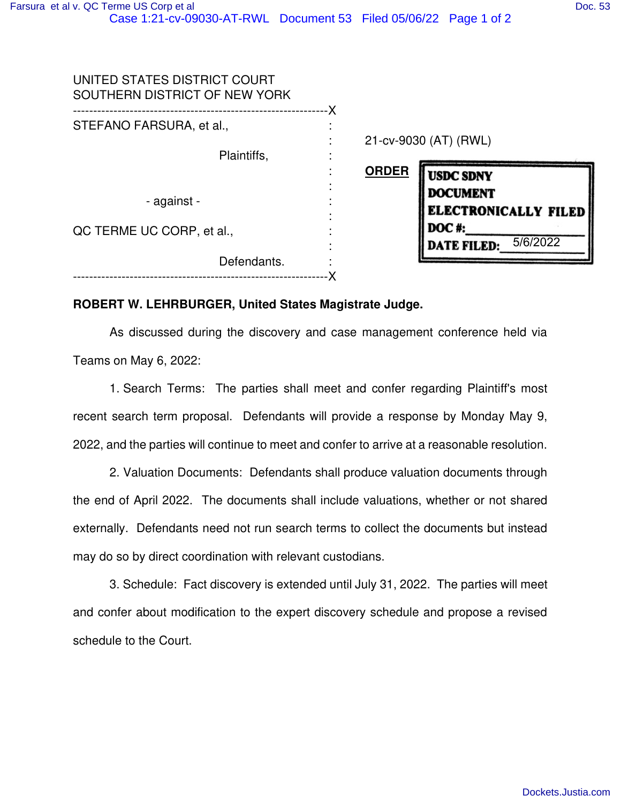| UNITED STATES DISTRICT COURT<br>SOUTHERN DISTRICT OF NEW YORK |                                  |  |
|---------------------------------------------------------------|----------------------------------|--|
| STEFANO FARSURA, et al.,                                      |                                  |  |
|                                                               | 21-cv-9030 (AT) (RWL)            |  |
| Plaintiffs,                                                   |                                  |  |
|                                                               | <b>ORDER</b><br><b>USDC SDNY</b> |  |
| - against -                                                   | <b>DOCUMENT</b>                  |  |
|                                                               | <b>ELECTRONICALLY FILED</b>      |  |
| QC TERME UC CORP, et al.,                                     | <b>DOC#:</b>                     |  |
|                                                               | 5/6/2022<br><b>DATE FILED:</b>   |  |
| Defendants.                                                   |                                  |  |
|                                                               |                                  |  |

## **ROBERT W. LEHRBURGER, United States Magistrate Judge.**

As discussed during the discovery and case management conference held via Teams on May 6, 2022:

1. Search Terms: The parties shall meet and confer regarding Plaintiff's most recent search term proposal. Defendants will provide a response by Monday May 9, 2022, and the parties will continue to meet and confer to arrive at a reasonable resolution.

2. Valuation Documents: Defendants shall produce valuation documents through the end of April 2022. The documents shall include valuations, whether or not shared externally. Defendants need not run search terms to collect the documents but instead may do so by direct coordination with relevant custodians.

3. Schedule: Fact discovery is extended until July 31, 2022. The parties will meet and confer about modification to the expert discovery schedule and propose a revised schedule to the Court.